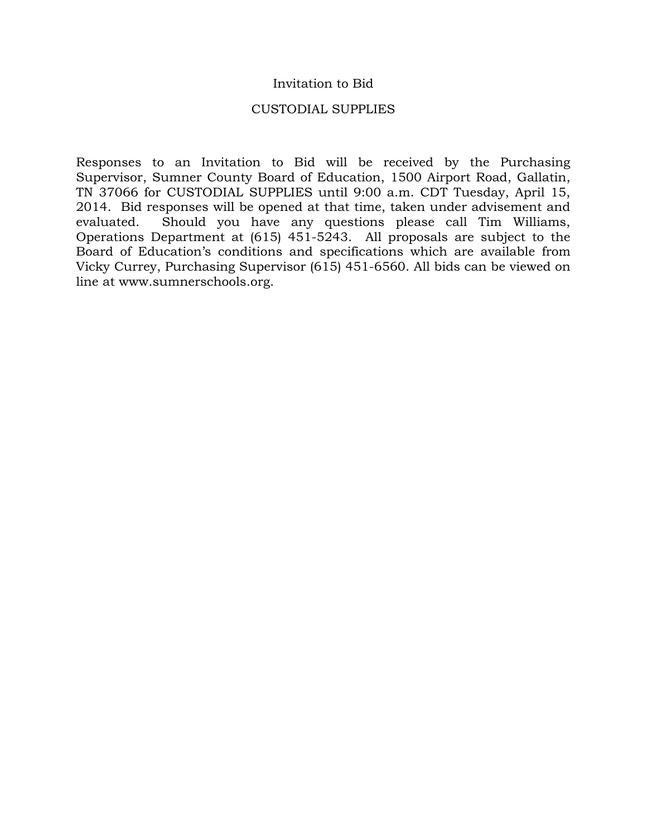### Invitation to Bid

#### CUSTODIAL SUPPLIES

Responses to an Invitation to Bid will be received by the Purchasing Supervisor, Sumner County Board of Education, 1500 Airport Road, Gallatin, TN 37066 for CUSTODIAL SUPPLIES until 9:00 a.m. CDT Tuesday, April 15, 2014. Bid responses will be opened at that time, taken under advisement and evaluated. Should you have any questions please call Tim Williams, Operations Department at (615) 451-5243. All proposals are subject to the Board of Education's conditions and specifications which are available from Vicky Currey, Purchasing Supervisor (615) 451-6560. All bids can be viewed on line at www.sumnerschools.org.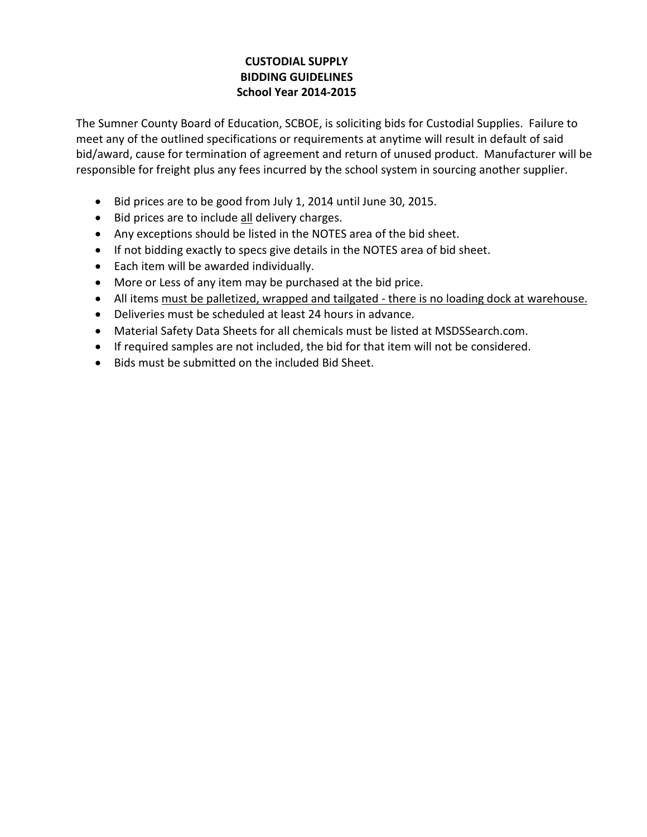# **CUSTODIAL SUPPLY BIDDING GUIDELINES School Year 2014-2015**

The Sumner County Board of Education, SCBOE, is soliciting bids for Custodial Supplies. Failure to meet any of the outlined specifications or requirements at anytime will result in default of said bid/award, cause for termination of agreement and return of unused product. Manufacturer will be responsible for freight plus any fees incurred by the school system in sourcing another supplier.

- Bid prices are to be good from July 1, 2014 until June 30, 2015.
- Bid prices are to include all delivery charges.
- Any exceptions should be listed in the NOTES area of the bid sheet.
- If not bidding exactly to specs give details in the NOTES area of bid sheet.
- Each item will be awarded individually.
- More or Less of any item may be purchased at the bid price.
- All items must be palletized, wrapped and tailgated there is no loading dock at warehouse.
- Deliveries must be scheduled at least 24 hours in advance.
- Material Safety Data Sheets for all chemicals must be listed at MSDSSearch.com.
- If required samples are not included, the bid for that item will not be considered.
- Bids must be submitted on the included Bid Sheet.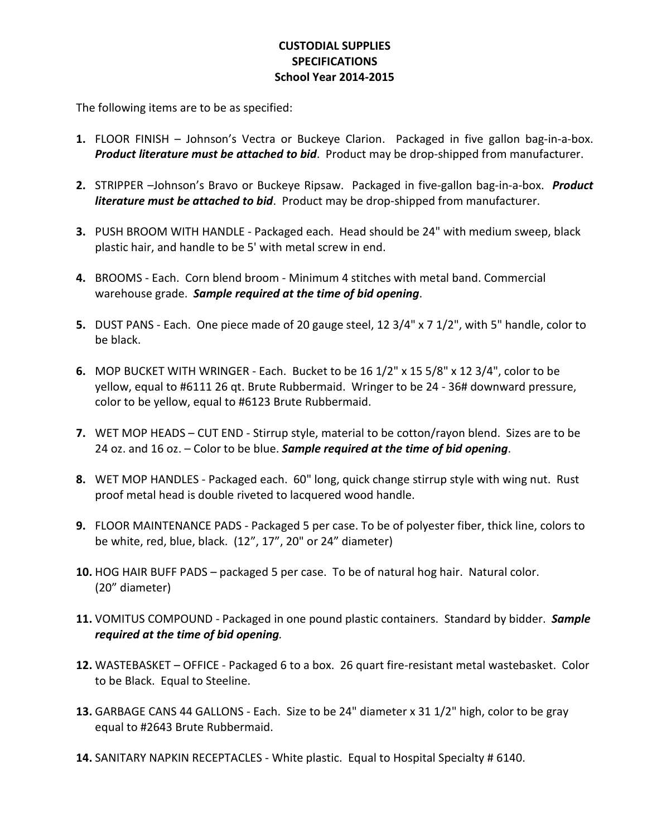## **CUSTODIAL SUPPLIES SPECIFICATIONS School Year 2014-2015**

The following items are to be as specified:

- **1.** FLOOR FINISH Johnson's Vectra or Buckeye Clarion. Packaged in five gallon bag-in-a-box. *Product literature must be attached to bid*. Product may be drop-shipped from manufacturer.
- **2.** STRIPPER –Johnson's Bravo or Buckeye Ripsaw. Packaged in five-gallon bag-in-a-box. *Product literature must be attached to bid*. Product may be drop-shipped from manufacturer.
- **3.** PUSH BROOM WITH HANDLE Packaged each. Head should be 24" with medium sweep, black plastic hair, and handle to be 5' with metal screw in end.
- **4.** BROOMS Each. Corn blend broom Minimum 4 stitches with metal band. Commercial warehouse grade. *Sample required at the time of bid opening*.
- **5.** DUST PANS Each. One piece made of 20 gauge steel, 12 3/4" x 7 1/2", with 5" handle, color to be black.
- **6.** MOP BUCKET WITH WRINGER Each. Bucket to be 16 1/2" x 15 5/8" x 12 3/4", color to be yellow, equal to #6111 26 qt. Brute Rubbermaid. Wringer to be 24 - 36# downward pressure, color to be yellow, equal to #6123 Brute Rubbermaid.
- **7.** WET MOP HEADS CUT END Stirrup style, material to be cotton/rayon blend. Sizes are to be 24 oz. and 16 oz. – Color to be blue. *Sample required at the time of bid opening*.
- **8.** WET MOP HANDLES Packaged each. 60" long, quick change stirrup style with wing nut. Rust proof metal head is double riveted to lacquered wood handle.
- **9.** FLOOR MAINTENANCE PADS Packaged 5 per case. To be of polyester fiber, thick line, colors to be white, red, blue, black. (12", 17", 20" or 24" diameter)
- **10.** HOG HAIR BUFF PADS packaged 5 per case. To be of natural hog hair. Natural color. (20" diameter)
- **11.** VOMITUS COMPOUND Packaged in one pound plastic containers. Standard by bidder. *Sample required at the time of bid opening.*
- **12.** WASTEBASKET OFFICE Packaged 6 to a box. 26 quart fire-resistant metal wastebasket. Color to be Black. Equal to Steeline.
- **13.** GARBAGE CANS 44 GALLONS Each. Size to be 24" diameter x 31 1/2" high, color to be gray equal to #2643 Brute Rubbermaid.
- **14.** SANITARY NAPKIN RECEPTACLES White plastic. Equal to Hospital Specialty # 6140.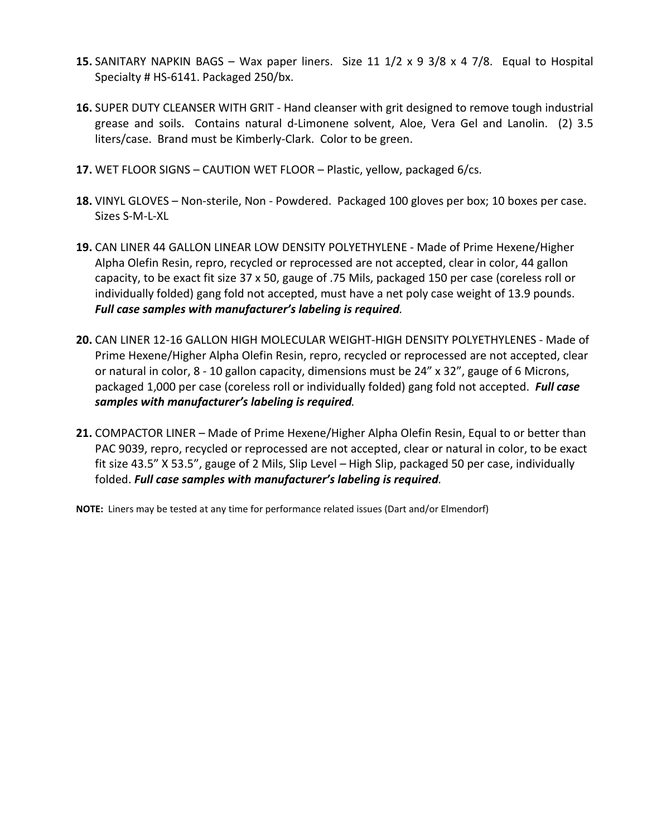- **15.** SANITARY NAPKIN BAGS Wax paper liners. Size 11 1/2 x 9 3/8 x 4 7/8. Equal to Hospital Specialty # HS-6141. Packaged 250/bx.
- **16.** SUPER DUTY CLEANSER WITH GRIT Hand cleanser with grit designed to remove tough industrial grease and soils. Contains natural d-Limonene solvent, Aloe, Vera Gel and Lanolin. (2) 3.5 liters/case. Brand must be Kimberly-Clark. Color to be green.
- **17.** WET FLOOR SIGNS CAUTION WET FLOOR Plastic, yellow, packaged 6/cs.
- **18.** VINYL GLOVES Non-sterile, Non Powdered. Packaged 100 gloves per box; 10 boxes per case. Sizes S-M-L-XL
- **19.** CAN LINER 44 GALLON LINEAR LOW DENSITY POLYETHYLENE Made of Prime Hexene/Higher Alpha Olefin Resin, repro, recycled or reprocessed are not accepted, clear in color, 44 gallon capacity, to be exact fit size 37 x 50, gauge of .75 Mils, packaged 150 per case (coreless roll or individually folded) gang fold not accepted, must have a net poly case weight of 13.9 pounds. *Full case samples with manufacturer's labeling is required.*
- **20.** CAN LINER 12-16 GALLON HIGH MOLECULAR WEIGHT-HIGH DENSITY POLYETHYLENES Made of Prime Hexene/Higher Alpha Olefin Resin, repro, recycled or reprocessed are not accepted, clear or natural in color, 8 - 10 gallon capacity, dimensions must be 24" x 32", gauge of 6 Microns, packaged 1,000 per case (coreless roll or individually folded) gang fold not accepted. *Full case samples with manufacturer's labeling is required.*
- **21.** COMPACTOR LINER Made of Prime Hexene/Higher Alpha Olefin Resin, Equal to or better than PAC 9039, repro, recycled or reprocessed are not accepted, clear or natural in color, to be exact fit size 43.5" X 53.5", gauge of 2 Mils, Slip Level – High Slip, packaged 50 per case, individually folded. *Full case samples with manufacturer's labeling is required.*

**NOTE:** Liners may be tested at any time for performance related issues (Dart and/or Elmendorf)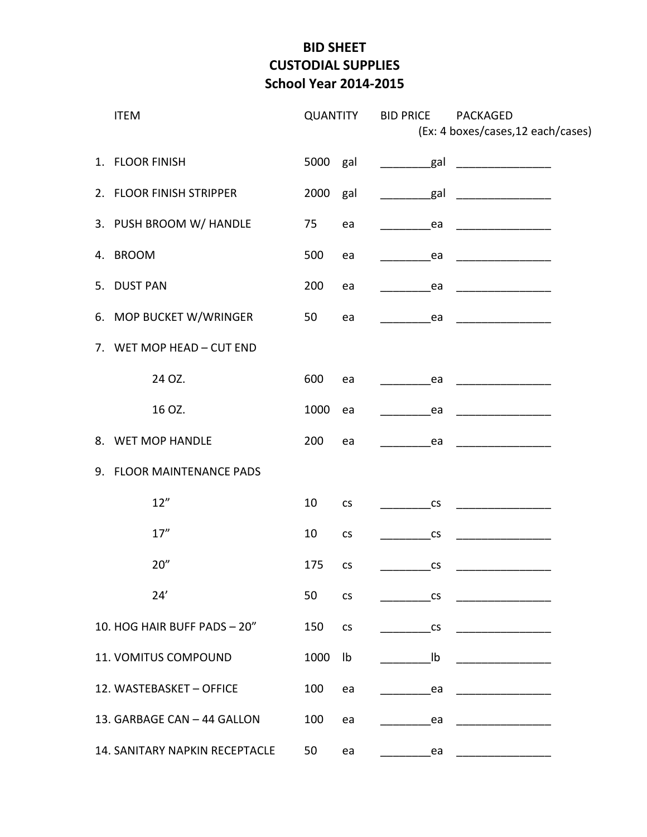# **BID SHEET CUSTODIAL SUPPLIES School Year 2014-2015**

|                             | <b>ITEM</b>                    |      | <b>QUANTITY</b> | <b>BID PRICE</b><br><b>PACKAGED</b><br>(Ex: 4 boxes/cases, 12 each/cases) |                                                                                                                                                                                                                                                                                                                                                                                                                                  |  |
|-----------------------------|--------------------------------|------|-----------------|---------------------------------------------------------------------------|----------------------------------------------------------------------------------------------------------------------------------------------------------------------------------------------------------------------------------------------------------------------------------------------------------------------------------------------------------------------------------------------------------------------------------|--|
|                             | 1. FLOOR FINISH                | 5000 | gal             | gal gal                                                                   | $\overline{\phantom{a}}$ . The contract of $\overline{\phantom{a}}$ , $\overline{\phantom{a}}$ , $\overline{\phantom{a}}$ , $\overline{\phantom{a}}$ , $\overline{\phantom{a}}$ , $\overline{\phantom{a}}$ , $\overline{\phantom{a}}$ , $\overline{\phantom{a}}$ , $\overline{\phantom{a}}$ , $\overline{\phantom{a}}$ , $\overline{\phantom{a}}$ , $\overline{\phantom{a}}$ , $\overline{\phantom{a}}$ , $\overline{\phantom{a$ |  |
|                             | 2. FLOOR FINISH STRIPPER       | 2000 | gal             | _gal                                                                      |                                                                                                                                                                                                                                                                                                                                                                                                                                  |  |
|                             | 3. PUSH BROOM W/ HANDLE        | 75   | ea              | ea                                                                        |                                                                                                                                                                                                                                                                                                                                                                                                                                  |  |
|                             | 4. BROOM                       | 500  | ea              | ea                                                                        |                                                                                                                                                                                                                                                                                                                                                                                                                                  |  |
|                             | 5. DUST PAN                    | 200  | ea              | ea                                                                        | <u> 1989 - Johann Barn, mars an t-Amerikaansk kommunister (</u>                                                                                                                                                                                                                                                                                                                                                                  |  |
|                             | 6. MOP BUCKET W/WRINGER        | 50   | ea              | ea                                                                        |                                                                                                                                                                                                                                                                                                                                                                                                                                  |  |
|                             | 7. WET MOP HEAD - CUT END      |      |                 |                                                                           |                                                                                                                                                                                                                                                                                                                                                                                                                                  |  |
|                             | 24 OZ.                         | 600  | ea              | ea                                                                        |                                                                                                                                                                                                                                                                                                                                                                                                                                  |  |
|                             | 16 OZ.                         | 1000 | ea              | ea                                                                        |                                                                                                                                                                                                                                                                                                                                                                                                                                  |  |
|                             | 8. WET MOP HANDLE              | 200  | ea              | ea                                                                        |                                                                                                                                                                                                                                                                                                                                                                                                                                  |  |
|                             | 9. FLOOR MAINTENANCE PADS      |      |                 |                                                                           |                                                                                                                                                                                                                                                                                                                                                                                                                                  |  |
|                             | 12"                            | 10   | CS              | CS                                                                        |                                                                                                                                                                                                                                                                                                                                                                                                                                  |  |
|                             | 17''                           | 10   | <b>CS</b>       | $\mathsf{CS}\xspace$                                                      |                                                                                                                                                                                                                                                                                                                                                                                                                                  |  |
|                             | 20''                           | 175  | CS              | $\mathsf{CS}\phantom{0}$                                                  |                                                                                                                                                                                                                                                                                                                                                                                                                                  |  |
|                             | 24'                            | 50   | <b>CS</b>       | <b>CS</b>                                                                 |                                                                                                                                                                                                                                                                                                                                                                                                                                  |  |
|                             | 10. HOG HAIR BUFF PADS - 20"   | 150  | CS              | CS                                                                        |                                                                                                                                                                                                                                                                                                                                                                                                                                  |  |
|                             | 11. VOMITUS COMPOUND           | 1000 | Ib              | Ib                                                                        |                                                                                                                                                                                                                                                                                                                                                                                                                                  |  |
|                             | 12. WASTEBASKET - OFFICE       | 100  | ea              | ea                                                                        |                                                                                                                                                                                                                                                                                                                                                                                                                                  |  |
| 13. GARBAGE CAN - 44 GALLON |                                | 100  | ea              | ea                                                                        |                                                                                                                                                                                                                                                                                                                                                                                                                                  |  |
|                             | 14. SANITARY NAPKIN RECEPTACLE | 50   | ea              | ea                                                                        |                                                                                                                                                                                                                                                                                                                                                                                                                                  |  |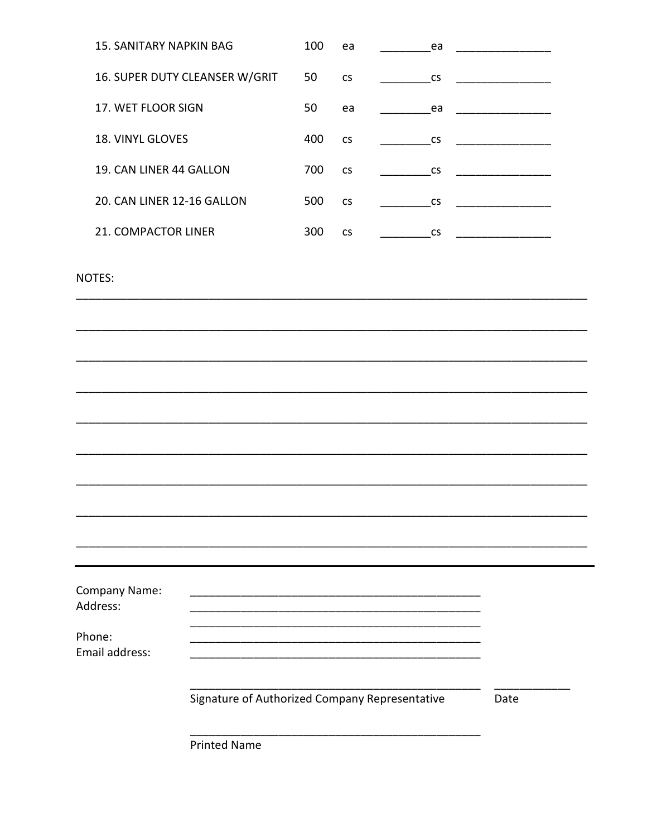| <b>15. SANITARY NAPKIN BAG</b>   |                                                | 100  | ea                       | ea                       |                                                                 |  |
|----------------------------------|------------------------------------------------|------|--------------------------|--------------------------|-----------------------------------------------------------------|--|
|                                  | 16. SUPER DUTY CLEANSER W/GRIT                 | 50   | $\mathsf{CS}\phantom{0}$ | <b>CS</b>                |                                                                 |  |
| 17. WET FLOOR SIGN               |                                                | 50   | ea                       | ea                       |                                                                 |  |
| 18. VINYL GLOVES                 |                                                | 400  | CS                       | $\mathsf{CS}\phantom{0}$ |                                                                 |  |
| 19. CAN LINER 44 GALLON          |                                                | 700  | CS                       | $\mathsf{CS}\phantom{0}$ |                                                                 |  |
| 20. CAN LINER 12-16 GALLON       |                                                | 500  | $\mathsf{CS}\xspace$     | $\mathsf{CS}\phantom{0}$ | <u> 1989 - Johann Barn, mars an t-Amerikaansk kommunister (</u> |  |
| 21. COMPACTOR LINER              |                                                | 300  | $\mathsf{CS}\xspace$     | $\mathsf{CS}\phantom{0}$ |                                                                 |  |
| NOTES:                           |                                                |      |                          |                          |                                                                 |  |
|                                  |                                                |      |                          |                          |                                                                 |  |
|                                  |                                                |      |                          |                          |                                                                 |  |
|                                  |                                                |      |                          |                          |                                                                 |  |
|                                  |                                                |      |                          |                          |                                                                 |  |
|                                  |                                                |      |                          |                          |                                                                 |  |
|                                  |                                                |      |                          |                          |                                                                 |  |
|                                  |                                                |      |                          |                          |                                                                 |  |
|                                  |                                                |      |                          |                          |                                                                 |  |
|                                  |                                                |      |                          |                          |                                                                 |  |
| <b>Company Name:</b><br>Address: |                                                |      |                          |                          |                                                                 |  |
| Phone:<br>Email address:         |                                                |      |                          |                          |                                                                 |  |
|                                  | Signature of Authorized Company Representative | Date |                          |                          |                                                                 |  |
|                                  | <b>Printed Name</b>                            |      |                          |                          |                                                                 |  |